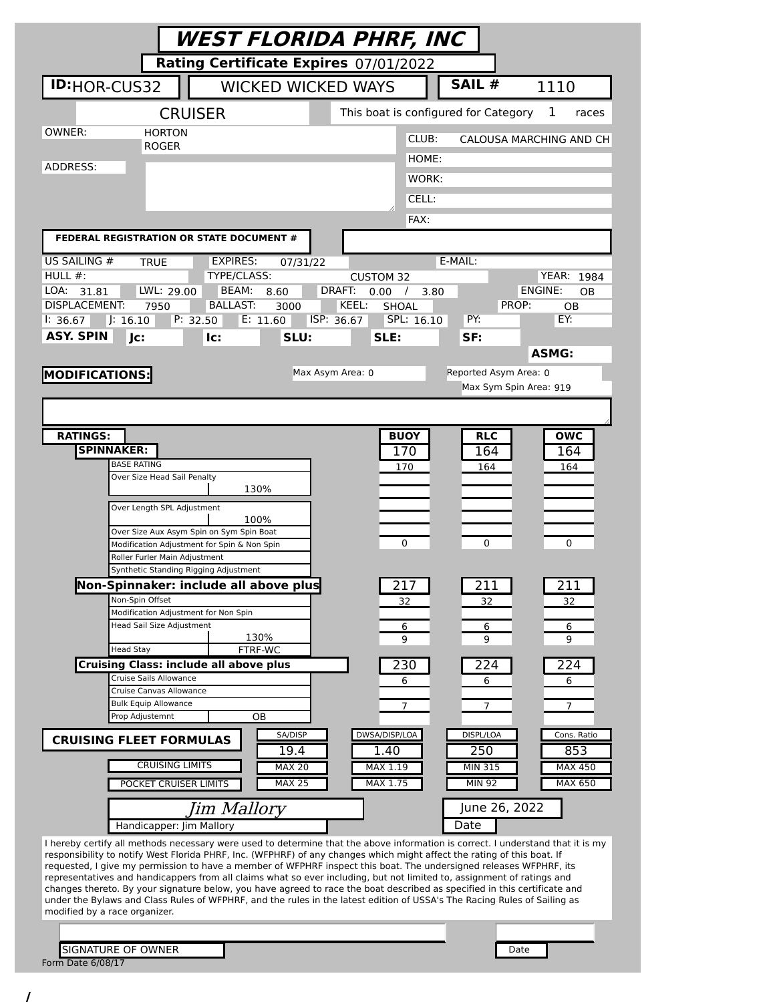|                                                | WEST FLORIDA PHRF, INC                                                                                                                                                                                                                                     |                                            |                                      |                         |
|------------------------------------------------|------------------------------------------------------------------------------------------------------------------------------------------------------------------------------------------------------------------------------------------------------------|--------------------------------------------|--------------------------------------|-------------------------|
|                                                | Rating Certificate Expires 07/01/2022                                                                                                                                                                                                                      |                                            |                                      |                         |
| <b>ID:</b> HOR-CUS32                           | <b>WICKED WICKED WAYS</b>                                                                                                                                                                                                                                  |                                            | SAIL #                               | 1110                    |
|                                                | <b>CRUISER</b>                                                                                                                                                                                                                                             |                                            | This boat is configured for Category | 1<br>races              |
| OWNER:                                         | <b>HORTON</b><br><b>ROGER</b>                                                                                                                                                                                                                              | CLUB:                                      |                                      | CALOUSA MARCHING AND CH |
| ADDRESS:                                       |                                                                                                                                                                                                                                                            | HOME:                                      |                                      |                         |
|                                                |                                                                                                                                                                                                                                                            | WORK:                                      |                                      |                         |
|                                                |                                                                                                                                                                                                                                                            | CELL:                                      |                                      |                         |
|                                                |                                                                                                                                                                                                                                                            | FAX:                                       |                                      |                         |
|                                                | FEDERAL REGISTRATION OR STATE DOCUMENT #                                                                                                                                                                                                                   |                                            |                                      |                         |
| US SAILING #<br>HULL $#$ :                     | <b>EXPIRES:</b><br>TRUE<br>07/31/22<br>TYPE/CLASS:                                                                                                                                                                                                         | <b>CUSTOM 32</b>                           | E-MAIL:                              | <b>YEAR: 1984</b>       |
| LOA: 31.81                                     | LWL: 29.00<br>BEAM:<br>8.60                                                                                                                                                                                                                                | DRAFT:<br>0.00<br>$\sqrt{ }$               | 3.80                                 | ENGINE:<br>OВ           |
| <b>DISPLACEMENT:</b><br>1: 36.67<br>J: 16.10   | <b>BALLAST:</b><br>7950<br>3000<br>P: 32.50<br>E: 11.60                                                                                                                                                                                                    | KEEL:<br>SHOAL<br>ISP: 36.67<br>SPL: 16.10 | PROP:<br>PY:                         | OВ<br>EY:               |
| <b>ASY. SPIN</b><br>Jc:                        | SLU:<br>lc:                                                                                                                                                                                                                                                | SLE:                                       | SF:                                  |                         |
|                                                |                                                                                                                                                                                                                                                            |                                            |                                      | <b>ASMG:</b>            |
| <b>MODIFICATIONS:</b>                          |                                                                                                                                                                                                                                                            | Max Asym Area: 0                           | Reported Asym Area: 0                |                         |
|                                                |                                                                                                                                                                                                                                                            |                                            | Max Sym Spin Area: 919               |                         |
|                                                |                                                                                                                                                                                                                                                            |                                            |                                      |                         |
| <b>RATINGS:</b>                                |                                                                                                                                                                                                                                                            | <b>BUOY</b>                                | <b>RLC</b>                           | <b>OWC</b>              |
| <b>SPINNAKER:</b><br><b>BASE RATING</b>        |                                                                                                                                                                                                                                                            | 170                                        | 164                                  | 164                     |
|                                                | Over Size Head Sail Penalty                                                                                                                                                                                                                                | 170                                        | 164                                  | 164                     |
|                                                | 130%<br>Over Length SPL Adjustment                                                                                                                                                                                                                         |                                            |                                      |                         |
|                                                | 100%                                                                                                                                                                                                                                                       |                                            |                                      |                         |
|                                                | Over Size Aux Asym Spin on Sym Spin Boat<br>Modification Adjustment for Spin & Non Spin                                                                                                                                                                    | 0                                          | 0                                    | 0                       |
|                                                | Roller Furler Main Adjustment<br>Synthetic Standing Rigging Adjustment                                                                                                                                                                                     |                                            |                                      |                         |
|                                                | Non-Spinnaker: include all above plus                                                                                                                                                                                                                      | 217                                        | 211                                  | 211                     |
| Non-Spin Offset                                |                                                                                                                                                                                                                                                            | 32                                         | 32                                   | 32                      |
|                                                | Modification Adjustment for Non Spin<br>Head Sail Size Adjustment                                                                                                                                                                                          | 6                                          | 6                                    | 6                       |
| <b>Head Stay</b>                               | 130%<br>FTRF-WC                                                                                                                                                                                                                                            | 9                                          | 9                                    | 9                       |
|                                                | <b>Cruising Class: include all above plus</b>                                                                                                                                                                                                              | 230                                        | 224                                  | 224                     |
|                                                | Cruise Sails Allowance<br>Cruise Canvas Allowance                                                                                                                                                                                                          | 6                                          | 6                                    | 6                       |
|                                                | <b>Bulk Equip Allowance</b><br>Prop Adjustemnt                                                                                                                                                                                                             | 7                                          | 7                                    | 7                       |
|                                                | ОB<br>SA/DISP                                                                                                                                                                                                                                              | DWSA/DISP/LOA                              | DISPL/LOA                            | Cons. Ratio             |
| <b>CRUISING FLEET FORMULAS</b>                 | 19.4                                                                                                                                                                                                                                                       | 1.40                                       | 250                                  | 853                     |
|                                                | <b>CRUISING LIMITS</b><br><b>MAX 20</b>                                                                                                                                                                                                                    | MAX 1.19                                   | <b>MIN 315</b>                       | <b>MAX 450</b>          |
|                                                | <b>MAX 25</b><br>POCKET CRUISER LIMITS                                                                                                                                                                                                                     | MAX 1.75                                   | <b>MIN 92</b>                        | MAX 650                 |
|                                                | Jim Mallory                                                                                                                                                                                                                                                |                                            | June 26, 2022                        |                         |
|                                                | Handicapper: Jim Mallory                                                                                                                                                                                                                                   |                                            | Date                                 |                         |
|                                                | I hereby certify all methods necessary were used to determine that the above information is correct. I understand that it is my<br>responsibility to notify West Florida PHRF, Inc. (WFPHRF) of any changes which might affect the rating of this boat. If |                                            |                                      |                         |
|                                                | requested, I give my permission to have a member of WFPHRF inspect this boat. The undersigned releases WFPHRF, its<br>representatives and handicappers from all claims what so ever including, but not limited to, assignment of ratings and               |                                            |                                      |                         |
|                                                | changes thereto. By your signature below, you have agreed to race the boat described as specified in this certificate and<br>under the Bylaws and Class Rules of WFPHRF, and the rules in the latest edition of USSA's The Racing Rules of Sailing as      |                                            |                                      |                         |
| modified by a race organizer.                  |                                                                                                                                                                                                                                                            |                                            |                                      |                         |
|                                                |                                                                                                                                                                                                                                                            |                                            |                                      |                         |
| <b>SIGNATURE OF OWNER</b><br>Form Date 6/08/17 |                                                                                                                                                                                                                                                            |                                            | Date                                 |                         |
|                                                |                                                                                                                                                                                                                                                            |                                            |                                      |                         |

/